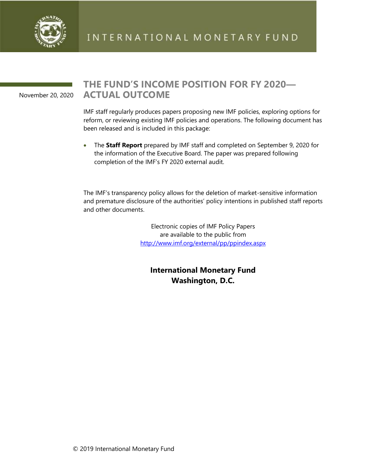

November 20, 2020

## **THE FUND'S INCOME POSITION FOR FY 2020— ACTUAL OUTCOME**

IMF staff regularly produces papers proposing new IMF policies, exploring options for reform, or reviewing existing IMF policies and operations. The following document has been released and is included in this package:

• The **Staff Report** prepared by IMF staff and completed on September 9, 2020 for the information of the Executive Board. The paper was prepared following completion of the IMF's FY 2020 external audit.

The IMF's transparency policy allows for the deletion of market-sensitive information and premature disclosure of the authorities' policy intentions in published staff reports and other documents.

> Electronic copies of IMF Policy Papers are available to the public from <http://www.imf.org/external/pp/ppindex.aspx>

**International Monetary Fund Washington, D.C.**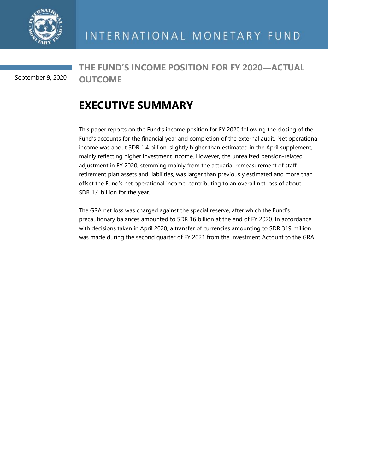

**THE FUND'S INCOME POSITION FOR FY 2020—ACTUAL OUTCOME**  September 9, 2020

## **EXECUTIVE SUMMARY**

This paper reports on the Fund's income position for FY 2020 following the closing of the Fund's accounts for the financial year and completion of the external audit. Net operational income was about SDR 1.4 billion, slightly higher than estimated in the April supplement, mainly reflecting higher investment income. However, the unrealized pension-related adjustment in FY 2020, stemming mainly from the actuarial remeasurement of staff retirement plan assets and liabilities, was larger than previously estimated and more than offset the Fund's net operational income, contributing to an overall net loss of about SDR 1.4 billion for the year.

The GRA net loss was charged against the special reserve, after which the Fund's precautionary balances amounted to SDR 16 billion at the end of FY 2020. In accordance with decisions taken in April 2020, a transfer of currencies amounting to SDR 319 million was made during the second quarter of FY 2021 from the Investment Account to the GRA.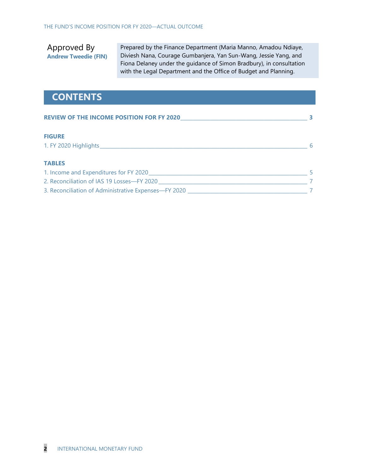Approved By **Andrew Tweedie (FIN)** Prepared by the Finance Department (Maria Manno, Amadou Ndiaye, Diviesh Nana, Courage Gumbanjera, Yan Sun-Wang, Jessie Yang, and Fiona Delaney under the guidance of Simon Bradbury), in consultation with the Legal Department and the Office of Budget and Planning.

## **CONTENTS**

| <b>REVIEW OF THE INCOME POSITION FOR FY 2020</b>     |  |
|------------------------------------------------------|--|
| <b>FIGURE</b>                                        |  |
|                                                      |  |
| <b>TABLES</b>                                        |  |
| 1. Income and Expenditures for FY 2020               |  |
| 2. Reconciliation of IAS 19 Losses-FY 2020           |  |
| 3. Reconciliation of Administrative Expenses—FY 2020 |  |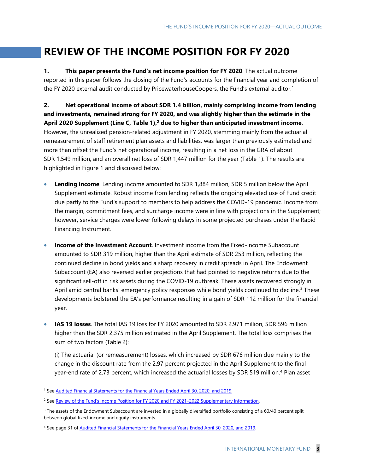## **REVIEW OF THE INCOME POSITION FOR FY 2020**

**1. This paper presents the Fund's net income position for FY 2020**. The actual outcome reported in this paper follows the closing of the Fund's accounts for the financial year and completion of the FY 2020 external audit conducted by PricewaterhouseCoopers, the Fund's external auditor.<sup>1</sup>

**2. Net operational income of about SDR 1.4 billion, mainly comprising income from lending and investments, remained strong for FY 2020, and was slightly higher than the estimate in the April 2020 Supplement (Line C, Table 1), <sup>2</sup> due to higher than anticipated investment income**. However, the unrealized pension-related adjustment in FY 2020, stemming mainly from the actuarial remeasurement of staff retirement plan assets and liabilities, was larger than previously estimated and more than offset the Fund's net operational income, resulting in a net loss in the GRA of about SDR 1,549 million, and an overall net loss of SDR 1,447 million for the year (Table 1). The results are highlighted in Figure 1 and discussed below:

- **Lending income**. Lending income amounted to SDR 1,884 million, SDR 5 million below the April Supplement estimate. Robust income from lending reflects the ongoing elevated use of Fund credit due partly to the Fund's support to members to help address the COVID-19 pandemic. Income from the margin, commitment fees, and surcharge income were in line with projections in the Supplement; however, service charges were lower following delays in some projected purchases under the Rapid Financing Instrument.
- **Income of the Investment Account**. Investment income from the Fixed-Income Subaccount amounted to SDR 319 million, higher than the April estimate of SDR 253 million, reflecting the continued decline in bond yields and a sharp recovery in credit spreads in April. The Endowment Subaccount (EA) also reversed earlier projections that had pointed to negative returns due to the significant sell-off in risk assets during the COVID-19 outbreak. These assets recovered strongly in April amid central banks' emergency policy responses while bond yields continued to decline.<sup>3</sup> These developments bolstered the EA's performance resulting in a gain of SDR 112 million for the financial year.
- **IAS 19 losses**. The total IAS 19 loss for FY 2020 amounted to SDR 2,971 million, SDR 596 million higher than the SDR 2,375 million estimated in the April Supplement. The total loss comprises the sum of two factors (Table 2):

(i) The actuarial (or remeasurement) losses, which increased by SDR 676 million due mainly to the change in the discount rate from the 2.97 percent projected in the April Supplement to the final year-end rate of 2.73 percent, which increased the actuarial losses by SDR 519 million.<sup>4</sup> Plan asset

<sup>&</sup>lt;sup>1</sup> Se[e Audited Financial Statements for the Financial Years Ended April 30, 2020, and 2019.](https://www.imf.org/external/pubs/ft/quart/index.htm/)

<sup>&</sup>lt;sup>2</sup> See Review of the Fund's Income Position for FY 2020 and FY 2021-2022 Supplementary Information.

<sup>&</sup>lt;sup>3</sup> The assets of the Endowment Subaccount are invested in a globally diversified portfolio consisting of a 60/40 percent split between global fixed-income and equity instruments.

<sup>4</sup> See page 31 o[f Audited Financial Statements for the Financial Years Ended April 30, 2020, and 2019.](https://www.imf.org/external/pubs/ft/quart/index.htm/)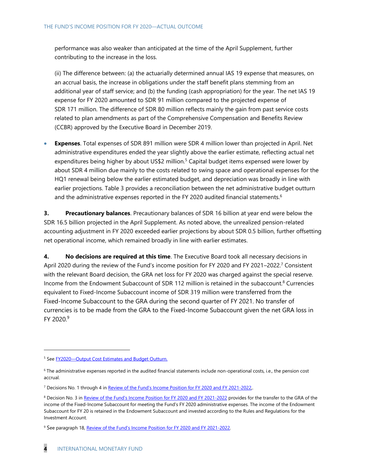performance was also weaker than anticipated at the time of the April Supplement, further contributing to the increase in the loss.

(ii) The difference between: (a) the actuarially determined annual IAS 19 expense that measures, on an accrual basis, the increase in obligations under the staff benefit plans stemming from an additional year of staff service; and (b) the funding (cash appropriation) for the year. The net IAS 19 expense for FY 2020 amounted to SDR 91 million compared to the projected expense of SDR 171 million. The difference of SDR 80 million reflects mainly the gain from past service costs related to plan amendments as part of the Comprehensive Compensation and Benefits Review (CCBR) approved by the Executive Board in December 2019.

• **Expenses**. Total expenses of SDR 891 million were SDR 4 million lower than projected in April. Net administrative expenditures ended the year slightly above the earlier estimate, reflecting actual net expenditures being higher by about US\$2 million.<sup>5</sup> Capital budget items expensed were lower by about SDR 4 million due mainly to the costs related to swing space and operational expenses for the HQ1 renewal being below the earlier estimated budget, and depreciation was broadly in line with earlier projections. Table 3 provides a reconciliation between the net administrative budget outturn and the administrative expenses reported in the FY 2020 audited financial statements.<sup>6</sup>

**3. Precautionary balances**. Precautionary balances of SDR 16 billion at year end were below the SDR 16.5 billion projected in the April Supplement. As noted above, the unrealized pension-related accounting adjustment in FY 2020 exceeded earlier projections by about SDR 0.5 billion, further offsetting net operational income, which remained broadly in line with earlier estimates.

**4. No decisions are required at this time**. The Executive Board took all necessary decisions in April 2020 during the review of the Fund's income position for FY 2020 and FY 2021–2022. <sup>7</sup> Consistent with the relevant Board decision, the GRA net loss for FY 2020 was charged against the special reserve. Income from the Endowment Subaccount of SDR 112 million is retained in the subaccount. <sup>8</sup> Currencies equivalent to Fixed-Income Subaccount income of SDR 319 million were transferred from the Fixed-Income Subaccount to the GRA during the second quarter of FY 2021. No transfer of currencies is to be made from the GRA to the Fixed-Income Subaccount given the net GRA loss in FY 2020. 9

<sup>5</sup> See FY2020—[Output Cost Estimates and Budget Outturn.](https://www.imf.org/en/Publications/Policy-Papers/Issues/2020/10/23/FY2020-Output-Cost-Estimates-and-Budget-Outturn-49836)

<sup>6</sup> The administrative expenses reported in the audited financial statements include non-operational costs, i.e., the pension cost accrual.

<sup>&</sup>lt;sup>7</sup> Decisions No. 1 through 4 in [Review of the Fund's Income Position for FY 2020 and FY 2021](https://www.imf.org/en/Publications/Policy-Papers/Issues/2020/07/24/Review-Of-The-Funds-Income-Position-For-FY-2020-And-FY-2021-2022-49606)-2022.

<sup>8</sup> Decision No. 3 in [Review of the Fund's Income Position for FY 2020 and FY 2021](https://www.imf.org/en/Publications/Policy-Papers/Issues/2020/07/24/Review-Of-The-Funds-Income-Position-For-FY-2020-And-FY-2021-2022-49606)-2022 provides for the transfer to the GRA of the income of the Fixed-Income Subaccount for meeting the Fund's FY 2020 administrative expenses. The income of the Endowment Subaccount for FY 20 is retained in the Endowment Subaccount and invested according to the Rules and Regulations for the Investment Account.

<sup>&</sup>lt;sup>9</sup> See paragraph 18, Revie[w of the Fund's Income Position for FY 2020 and FY 2021](https://www.imf.org/en/Publications/Policy-Papers/Issues/2020/07/24/Review-Of-The-Funds-Income-Position-For-FY-2020-And-FY-2021-2022-49606)-2022.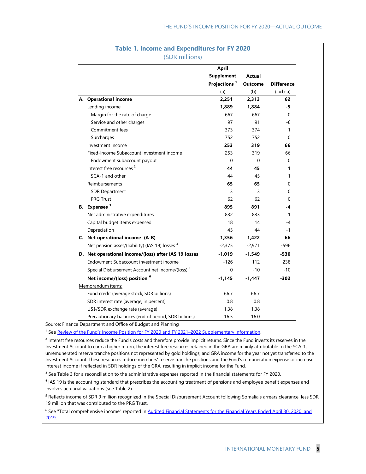| <b>Table 1. Income and Expenditures for FY 2020</b><br>(SDR millions) |                                                             |                                   |                |                   |
|-----------------------------------------------------------------------|-------------------------------------------------------------|-----------------------------------|----------------|-------------------|
|                                                                       |                                                             | <b>April</b><br><b>Supplement</b> | <b>Actual</b>  |                   |
|                                                                       |                                                             | Projections <sup>1</sup>          | <b>Outcome</b> | <b>Difference</b> |
|                                                                       |                                                             | (a)                               | (b)            | $(c=b-a)$         |
|                                                                       | A. Operational income                                       | 2,251                             | 2,313          | 62                |
|                                                                       | Lending income                                              | 1,889                             | 1,884          | -5                |
|                                                                       | Margin for the rate of charge                               | 667                               | 667            | 0                 |
|                                                                       | Service and other charges                                   | 97                                | 91             | -6                |
|                                                                       | Commitment fees                                             | 373                               | 374            | 1                 |
|                                                                       | Surcharges                                                  | 752                               | 752            | 0                 |
|                                                                       | Investment income                                           | 253                               | 319            | 66                |
|                                                                       | Fixed-Income Subaccount investment income                   | 253                               | 319            | 66                |
|                                                                       | Endowment subaccount payout                                 | 0                                 | $\Omega$       | 0                 |
|                                                                       | Interest free resources <sup>2</sup>                        | 44                                | 45             | 1                 |
|                                                                       | SCA-1 and other                                             | 44                                | 45             | 1                 |
|                                                                       | Reimbursements                                              | 65                                | 65             | 0                 |
|                                                                       | <b>SDR Department</b>                                       | 3                                 | 3              | 0                 |
|                                                                       | <b>PRG Trust</b>                                            | 62                                | 62             | 0                 |
|                                                                       | B. Expenses <sup>3</sup>                                    | 895                               | 891            | -4                |
|                                                                       | Net administrative expenditures                             | 832                               | 833            | 1                 |
|                                                                       | Capital budget items expensed                               | 18                                | 14             | -4                |
|                                                                       | Depreciation                                                | 45                                | 44             | -1                |
|                                                                       | C. Net operational income (A-B)                             | 1,356                             | 1,422          | 66                |
|                                                                       | Net pension asset/(liability) (IAS 19) losses <sup>4</sup>  | $-2,375$                          | $-2,971$       | $-596$            |
|                                                                       | D. Net operational income/(loss) after IAS 19 losses        | $-1,019$                          | $-1,549$       | $-530$            |
|                                                                       | Endowment Subaccount investment income                      | $-126$                            | 112            | 238               |
|                                                                       | Special Disbursement Account net income/(loss) <sup>5</sup> | $\Omega$                          | $-10$          | $-10$             |

Source: Finance Department and Office of Budget and Planning

**Net income/(loss) position <sup>6</sup>**

Memorandum items:

<sup>1</sup> See Review of the Fund's Income Position for FY 2020 and FY 2021-2022 Supplementary Information.

<sup>2</sup> Interest free resources reduce the Fund's costs and therefore provide implicit returns. Since the Fund invests its reserves in the Investment Account to earn a higher return, the interest free resources retained in the GRA are mainly attributable to the SCA-1, unremunerated reserve tranche positions not represented by gold holdings, and GRA income for the year not yet transferred to the Investment Account. These resources reduce members' reserve tranche positions and the Fund's remuneration expense or increase interest income if reflected in SDR holdings of the GRA, resulting in implicit income for the Fund.

Fund credit (average stock, SDR billions) 66.7 66.7 SDR interest rate (average, in percent) 0.8 0.8 0.8 US\$/SDR exchange rate (average) 1.38 1.38 Precautionary balances (end of period, SDR billions) 16.5 16.0

<sup>3</sup> See Table 3 for a reconciliation to the administrative expenses reported in the financial statements for FY 2020.

<sup>4</sup> IAS 19 is the accounting standard that prescribes the accounting treatment of pensions and employee benefit expenses and involves actuarial valuations (see Table 2).

<sup>5</sup> Reflects income of SDR 9 million recognized in the Special Disbursement Account following Somalia's arrears clearance, less SDR 19 million that was contributed to the PRG Trust.

<sup>6</sup> See "Total comprehensive income" reported in Audited Financial Statements for the Financial Years Ended April 30, 2020, and [2019.](https://www.imf.org/external/pubs/ft/quart/index.htm/)

**-1,145 -1,447 -302**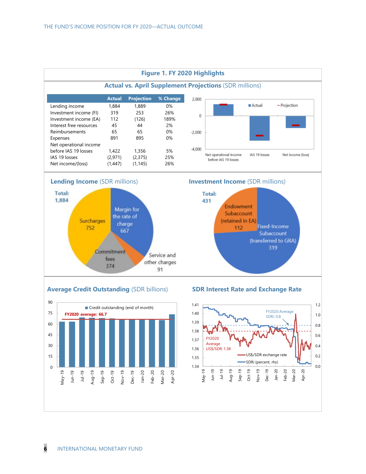